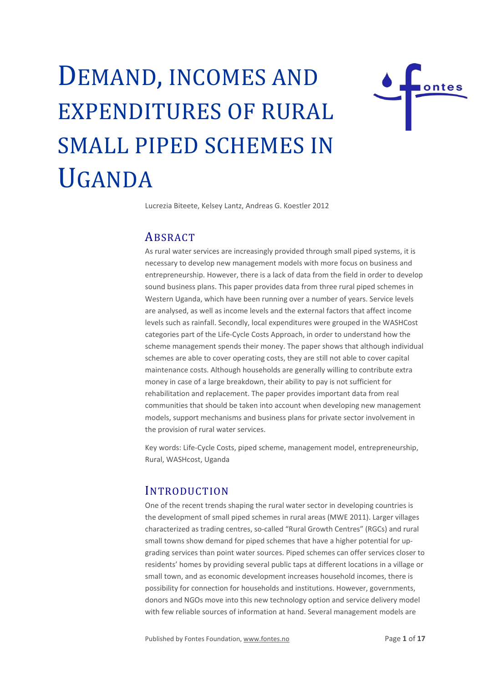# DEMAND, INCOMES AND EXPENDITURES OF RURAL SMALL PIPED SCHEMES IN UGANDA



Lucrezia Biteete, Kelsey Lantz, Andreas G. Koestler 2012

# **ABSRACT**

As rural water services are increasingly provided through small piped systems, it is necessary to develop new management models with more focus on business and entrepreneurship. However, there is a lack of data from the field in order to develop sound business plans. This paper provides data from three rural piped schemes in Western Uganda, which have been running over a number of years. Service levels are analysed, as well as income levels and the external factors that affect income levels such as rainfall. Secondly, local expenditures were grouped in the WASHCost categories part of the Life-Cycle Costs Approach, in order to understand how the scheme management spends their money. The paper shows that although individual schemes are able to cover operating costs, they are still not able to cover capital maintenance costs. Although households are generally willing to contribute extra money in case of a large breakdown, their ability to pay is not sufficient for rehabilitation and replacement. The paper provides important data from real communities that should be taken into account when developing new management models, support mechanisms and business plans for private sector involvement in the provision of rural water services.

Key words: Life-Cycle Costs, piped scheme, management model, entrepreneurship, Rural, WASHcost, Uganda

#### INTRODUCTION

One of the recent trends shaping the rural water sector in developing countries is the development of small piped schemes in rural areas (MWE 2011). Larger villages characterized as trading centres, so-called "Rural Growth Centres" (RGCs) and rural small towns show demand for piped schemes that have a higher potential for upgrading services than point water sources. Piped schemes can offer services closer to residents' homes by providing several public taps at different locations in a village or small town, and as economic development increases household incomes, there is possibility for connection for households and institutions. However, governments, donors and NGOs move into this new technology option and service delivery model with few reliable sources of information at hand. Several management models are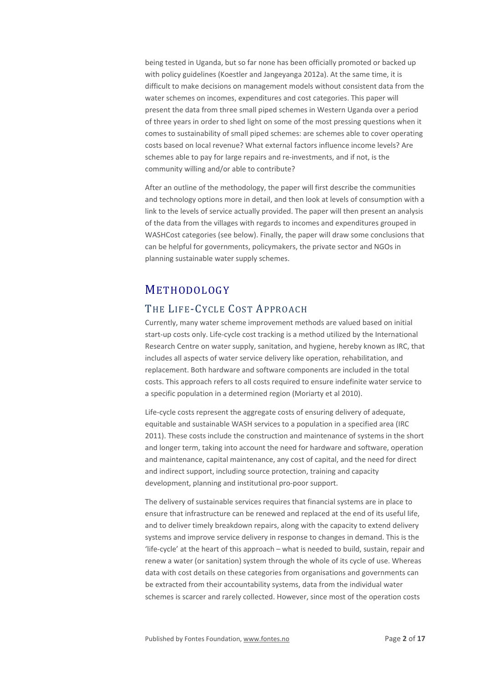being tested in Uganda, but so far none has been officially promoted or backed up with policy guidelines (Koestler and Jangeyanga 2012a). At the same time, it is difficult to make decisions on management models without consistent data from the water schemes on incomes, expenditures and cost categories. This paper will present the data from three small piped schemes in Western Uganda over a period of three years in order to shed light on some of the most pressing questions when it comes to sustainability of small piped schemes: are schemes able to cover operating costs based on local revenue? What external factors influence income levels? Are schemes able to pay for large repairs and re-investments, and if not, is the community willing and/or able to contribute?

After an outline of the methodology, the paper will first describe the communities and technology options more in detail, and then look at levels of consumption with a link to the levels of service actually provided. The paper will then present an analysis of the data from the villages with regards to incomes and expenditures grouped in WASHCost categories (see below). Finally, the paper will draw some conclusions that can be helpful for governments, policymakers, the private sector and NGOs in planning sustainable water supply schemes.

# **METHODOLOGY**

#### THE LIFE-CYCLE COST APPROACH

Currently, many water scheme improvement methods are valued based on initial start-up costs only. Life-cycle cost tracking is a method utilized by the International Research Centre on water supply, sanitation, and hygiene, hereby known as IRC, that includes all aspects of water service delivery like operation, rehabilitation, and replacement. Both hardware and software components are included in the total costs. This approach refers to all costs required to ensure indefinite water service to a specific population in a determined region (Moriarty et al 2010).

Life-cycle costs represent the aggregate costs of ensuring delivery of adequate, equitable and sustainable WASH services to a population in a specified area (IRC 2011). These costs include the construction and maintenance of systems in the short and longer term, taking into account the need for hardware and software, operation and maintenance, capital maintenance, any cost of capital, and the need for direct and indirect support, including source protection, training and capacity development, planning and institutional pro-poor support.

The delivery of sustainable services requires that financial systems are in place to ensure that infrastructure can be renewed and replaced at the end of its useful life, and to deliver timely breakdown repairs, along with the capacity to extend delivery systems and improve service delivery in response to changes in demand. This is the 'life-cycle' at the heart of this approach – what is needed to build, sustain, repair and renew a water (or sanitation) system through the whole of its cycle of use. Whereas data with cost details on these categories from organisations and governments can be extracted from their accountability systems, data from the individual water schemes is scarcer and rarely collected. However, since most of the operation costs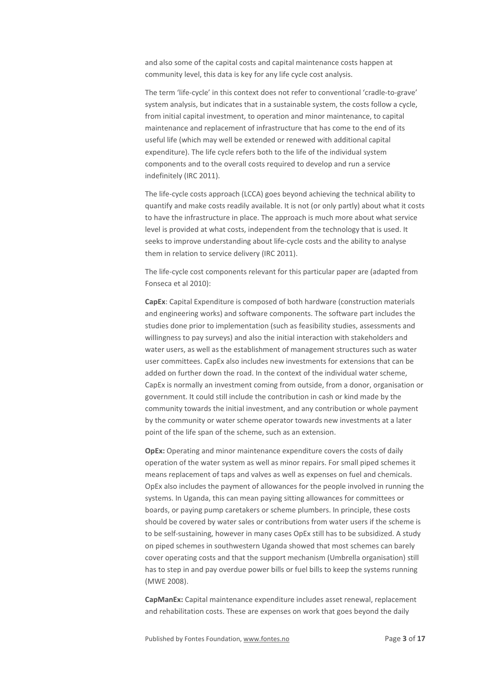and also some of the capital costs and capital maintenance costs happen at community level, this data is key for any life cycle cost analysis.

The term 'life-cycle' in this context does not refer to conventional 'cradle-to-grave' system analysis, but indicates that in a sustainable system, the costs follow a cycle, from initial capital investment, to operation and minor maintenance, to capital maintenance and replacement of infrastructure that has come to the end of its useful life (which may well be extended or renewed with additional capital expenditure). The life cycle refers both to the life of the individual system components and to the overall costs required to develop and run a service indefinitely (IRC 2011).

The life-cycle costs approach (LCCA) goes beyond achieving the technical ability to quantify and make costs readily available. It is not (or only partly) about what it costs to have the infrastructure in place. The approach is much more about what service level is provided at what costs, independent from the technology that is used. It seeks to improve understanding about life-cycle costs and the ability to analyse them in relation to service delivery (IRC 2011).

The life-cycle cost components relevant for this particular paper are (adapted from Fonseca et al 2010):

**CapEx**: Capital Expenditure is composed of both hardware (construction materials and engineering works) and software components. The software part includes the studies done prior to implementation (such as feasibility studies, assessments and willingness to pay surveys) and also the initial interaction with stakeholders and water users, as well as the establishment of management structures such as water user committees. CapEx also includes new investments for extensions that can be added on further down the road. In the context of the individual water scheme, CapEx is normally an investment coming from outside, from a donor, organisation or government. It could still include the contribution in cash or kind made by the community towards the initial investment, and any contribution or whole payment by the community or water scheme operator towards new investments at a later point of the life span of the scheme, such as an extension.

**OpEx:** Operating and minor maintenance expenditure covers the costs of daily operation of the water system as well as minor repairs. For small piped schemes it means replacement of taps and valves as well as expenses on fuel and chemicals. OpEx also includes the payment of allowances for the people involved in running the systems. In Uganda, this can mean paying sitting allowances for committees or boards, or paying pump caretakers or scheme plumbers. In principle, these costs should be covered by water sales or contributions from water users if the scheme is to be self-sustaining, however in many cases OpEx still has to be subsidized. A study on piped schemes in southwestern Uganda showed that most schemes can barely cover operating costs and that the support mechanism (Umbrella organisation) still has to step in and pay overdue power bills or fuel bills to keep the systems running (MWE 2008).

**CapManEx:** Capital maintenance expenditure includes asset renewal, replacement and rehabilitation costs. These are expenses on work that goes beyond the daily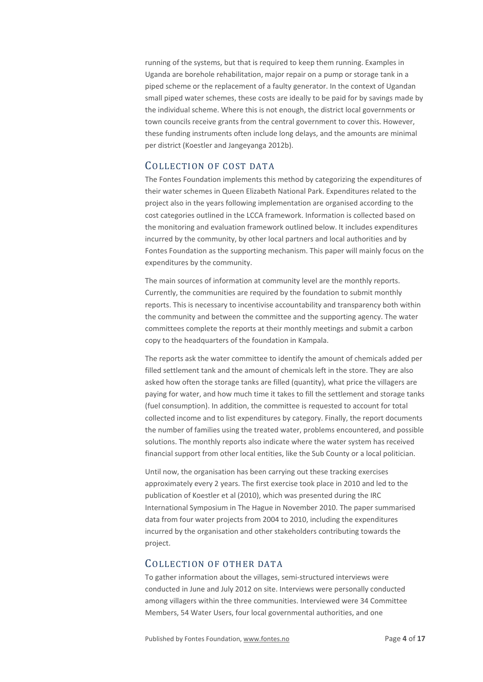running of the systems, but that is required to keep them running. Examples in Uganda are borehole rehabilitation, major repair on a pump or storage tank in a piped scheme or the replacement of a faulty generator. In the context of Ugandan small piped water schemes, these costs are ideally to be paid for by savings made by the individual scheme. Where this is not enough, the district local governments or town councils receive grants from the central government to cover this. However, these funding instruments often include long delays, and the amounts are minimal per district (Koestler and Jangeyanga 2012b).

#### COLLECTION OF COST DATA

The Fontes Foundation implements this method by categorizing the expenditures of their water schemes in Queen Elizabeth National Park. Expenditures related to the project also in the years following implementation are organised according to the cost categories outlined in the LCCA framework. Information is collected based on the monitoring and evaluation framework outlined below. It includes expenditures incurred by the community, by other local partners and local authorities and by Fontes Foundation as the supporting mechanism. This paper will mainly focus on the expenditures by the community.

The main sources of information at community level are the monthly reports. Currently, the communities are required by the foundation to submit monthly reports. This is necessary to incentivise accountability and transparency both within the community and between the committee and the supporting agency. The water committees complete the reports at their monthly meetings and submit a carbon copy to the headquarters of the foundation in Kampala.

The reports ask the water committee to identify the amount of chemicals added per filled settlement tank and the amount of chemicals left in the store. They are also asked how often the storage tanks are filled (quantity), what price the villagers are paying for water, and how much time it takes to fill the settlement and storage tanks (fuel consumption). In addition, the committee is requested to account for total collected income and to list expenditures by category. Finally, the report documents the number of families using the treated water, problems encountered, and possible solutions. The monthly reports also indicate where the water system has received financial support from other local entities, like the Sub County or a local politician.

Until now, the organisation has been carrying out these tracking exercises approximately every 2 years. The first exercise took place in 2010 and led to the publication of Koestler et al (2010), which was presented during the IRC International Symposium in The Hague in November 2010. The paper summarised data from four water projects from 2004 to 2010, including the expenditures incurred by the organisation and other stakeholders contributing towards the project.

#### COLLECTION OF OTHER DATA

To gather information about the villages, semi-structured interviews were conducted in June and July 2012 on site. Interviews were personally conducted among villagers within the three communities. Interviewed were 34 Committee Members, 54 Water Users, four local governmental authorities, and one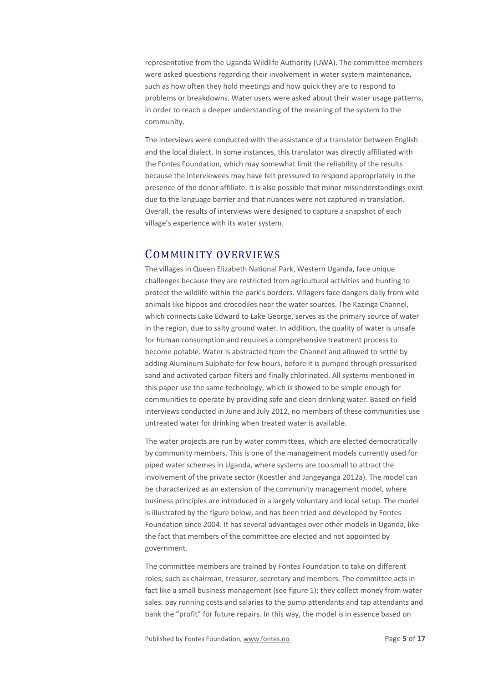representative from the Uganda Wildlife Authority (UWA). The committee members were asked questions regarding their involvement in water system maintenance, such as how often they hold meetings and how quick they are to respond to problems or breakdowns. Water users were asked about their water usage patterns, in order to reach a deeper understanding of the meaning of the system to the community.

The interviews were conducted with the assistance of a translator between English and the local dialect. In some instances, this translator was directly affiliated with the Fontes Foundation, which may somewhat limit the reliability of the results because the interviewees may have felt pressured to respond appropriately in the presence of the donor affiliate. It is also possible that minor misunderstandings exist due to the language barrier and that nuances were not captured in translation. Overall, the results of interviews were designed to capture a snapshot of each village's experience with its water system.

## COMMUNITY OVERVIEWS

The villages in Queen Elizabeth National Park, Western Uganda, face unique challenges because they are restricted from agricultural activities and hunting to protect the wildlife within the park's borders. Villagers face dangers daily from wild animals like hippos and crocodiles near the water sources. The Kazinga Channel, which connects Lake Edward to Lake George, serves as the primary source of water in the region, due to salty ground water. In addition, the quality of water is unsafe for human consumption and requires a comprehensive treatment process to become potable. Water is abstracted from the Channel and allowed to settle by adding Aluminum Sulphate for few hours, before it is pumped through pressurised sand and activated carbon filters and finally chlorinated. All systems mentioned in this paper use the same technology, which is showed to be simple enough for communities to operate by providing safe and clean drinking water. Based on field interviews conducted in June and July 2012, no members of these communities use untreated water for drinking when treated water is available.

The water projects are run by water committees, which are elected democratically by community members. This is one of the management models currently used for piped water schemes in Uganda, where systems are too small to attract the involvement of the private sector (Koestler and Jangeyanga 2012a). The model can be characterized as an extension of the community management model, where business principles are introduced in a largely voluntary and local setup. The model is illustrated by the figure below, and has been tried and developed by Fontes Foundation since 2004. It has several advantages over other models in Uganda, like the fact that members of the committee are elected and not appointed by government.

The committee members are trained by Fontes Foundation to take on different roles, such as chairman, treasurer, secretary and members. The committee acts in fact like a small business management (see figure 1); they collect money from water sales, pay running costs and salaries to the pump attendants and tap attendants and bank the "profit" for future repairs. In this way, the model is in essence based on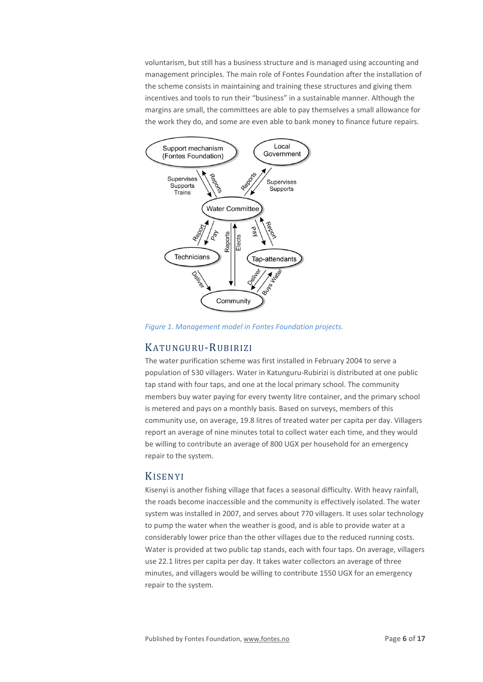voluntarism, but still has a business structure and is managed using accounting and management principles. The main role of Fontes Foundation after the installation of the scheme consists in maintaining and training these structures and giving them incentives and tools to run their "business" in a sustainable manner. Although the margins are small, the committees are able to pay themselves a small allowance for the work they do, and some are even able to bank money to finance future repairs.



*Figure 1. Management model in Fontes Foundation projects.*

#### KATUNGURU-RUBIRIZI

The water purification scheme was first installed in February 2004 to serve a population of 530 villagers. Water in Katunguru-Rubirizi is distributed at one public tap stand with four taps, and one at the local primary school. The community members buy water paying for every twenty litre container, and the primary school is metered and pays on a monthly basis. Based on surveys, members of this community use, on average, 19.8 litres of treated water per capita per day. Villagers report an average of nine minutes total to collect water each time, and they would be willing to contribute an average of 800 UGX per household for an emergency repair to the system.

#### KISENYI

Kisenyi is another fishing village that faces a seasonal difficulty. With heavy rainfall, the roads become inaccessible and the community is effectively isolated. The water system was installed in 2007, and serves about 770 villagers. It uses solar technology to pump the water when the weather is good, and is able to provide water at a considerably lower price than the other villages due to the reduced running costs. Water is provided at two public tap stands, each with four taps. On average, villagers use 22.1 litres per capita per day. It takes water collectors an average of three minutes, and villagers would be willing to contribute 1550 UGX for an emergency repair to the system.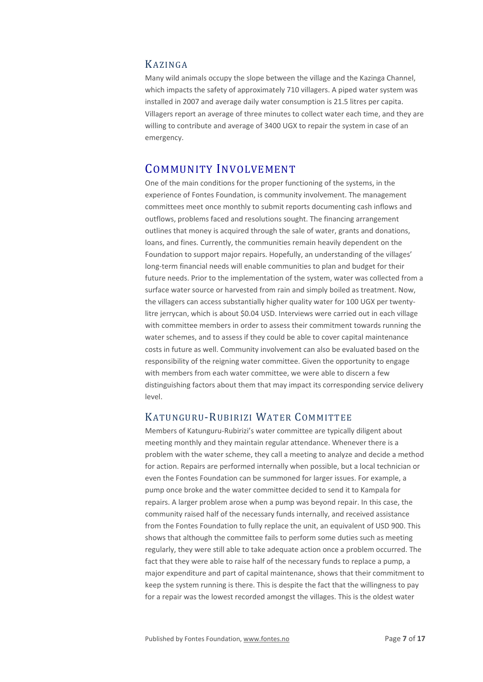#### KAZINGA

Many wild animals occupy the slope between the village and the Kazinga Channel, which impacts the safety of approximately 710 villagers. A piped water system was installed in 2007 and average daily water consumption is 21.5 litres per capita. Villagers report an average of three minutes to collect water each time, and they are willing to contribute and average of 3400 UGX to repair the system in case of an emergency.

# COMMUNITY INVOLVEMENT

One of the main conditions for the proper functioning of the systems, in the experience of Fontes Foundation, is community involvement. The management committees meet once monthly to submit reports documenting cash inflows and outflows, problems faced and resolutions sought. The financing arrangement outlines that money is acquired through the sale of water, grants and donations, loans, and fines. Currently, the communities remain heavily dependent on the Foundation to support major repairs. Hopefully, an understanding of the villages' long-term financial needs will enable communities to plan and budget for their future needs. Prior to the implementation of the system, water was collected from a surface water source or harvested from rain and simply boiled as treatment. Now, the villagers can access substantially higher quality water for 100 UGX per twentylitre jerrycan, which is about \$0.04 USD. Interviews were carried out in each village with committee members in order to assess their commitment towards running the water schemes, and to assess if they could be able to cover capital maintenance costs in future as well. Community involvement can also be evaluated based on the responsibility of the reigning water committee. Given the opportunity to engage with members from each water committee, we were able to discern a few distinguishing factors about them that may impact its corresponding service delivery level.

#### KATUNGURU-RUBIRIZI WATER COMMITTEE

Members of Katunguru-Rubirizi's water committee are typically diligent about meeting monthly and they maintain regular attendance. Whenever there is a problem with the water scheme, they call a meeting to analyze and decide a method for action. Repairs are performed internally when possible, but a local technician or even the Fontes Foundation can be summoned for larger issues. For example, a pump once broke and the water committee decided to send it to Kampala for repairs. A larger problem arose when a pump was beyond repair. In this case, the community raised half of the necessary funds internally, and received assistance from the Fontes Foundation to fully replace the unit, an equivalent of USD 900. This shows that although the committee fails to perform some duties such as meeting regularly, they were still able to take adequate action once a problem occurred. The fact that they were able to raise half of the necessary funds to replace a pump, a major expenditure and part of capital maintenance, shows that their commitment to keep the system running is there. This is despite the fact that the willingness to pay for a repair was the lowest recorded amongst the villages. This is the oldest water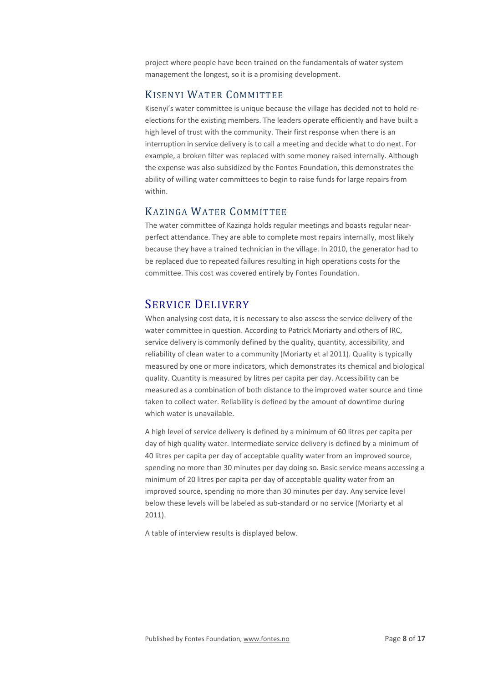project where people have been trained on the fundamentals of water system management the longest, so it is a promising development.

## KISENYI WATER COMMITTEE

Kisenyi's water committee is unique because the village has decided not to hold reelections for the existing members. The leaders operate efficiently and have built a high level of trust with the community. Their first response when there is an interruption in service delivery is to call a meeting and decide what to do next. For example, a broken filter was replaced with some money raised internally. Although the expense was also subsidized by the Fontes Foundation, this demonstrates the ability of willing water committees to begin to raise funds for large repairs from within.

## KAZINGA WATER COMMITTEE

The water committee of Kazinga holds regular meetings and boasts regular nearperfect attendance. They are able to complete most repairs internally, most likely because they have a trained technician in the village. In 2010, the generator had to be replaced due to repeated failures resulting in high operations costs for the committee. This cost was covered entirely by Fontes Foundation.

# SERVICE DELIVERY

When analysing cost data, it is necessary to also assess the service delivery of the water committee in question. According to Patrick Moriarty and others of IRC, service delivery is commonly defined by the quality, quantity, accessibility, and reliability of clean water to a community (Moriarty et al 2011). Quality is typically measured by one or more indicators, which demonstrates its chemical and biological quality. Quantity is measured by litres per capita per day. Accessibility can be measured as a combination of both distance to the improved water source and time taken to collect water. Reliability is defined by the amount of downtime during which water is unavailable.

A high level of service delivery is defined by a minimum of 60 litres per capita per day of high quality water. Intermediate service delivery is defined by a minimum of 40 litres per capita per day of acceptable quality water from an improved source, spending no more than 30 minutes per day doing so. Basic service means accessing a minimum of 20 litres per capita per day of acceptable quality water from an improved source, spending no more than 30 minutes per day. Any service level below these levels will be labeled as sub-standard or no service (Moriarty et al 2011).

A table of interview results is displayed below.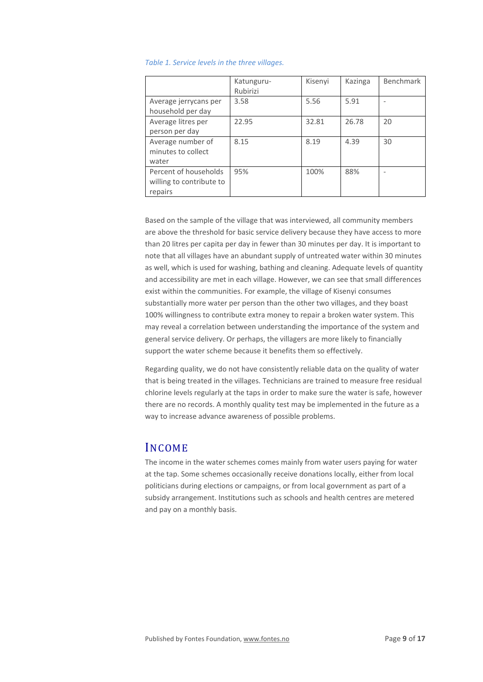|  | Table 1. Service levels in the three villages. |  |  |  |  |
|--|------------------------------------------------|--|--|--|--|
|--|------------------------------------------------|--|--|--|--|

|                                                              | Katunguru-<br>Rubirizi | Kisenyi | Kazinga | <b>Benchmark</b> |
|--------------------------------------------------------------|------------------------|---------|---------|------------------|
| Average jerrycans per<br>household per day                   | 3.58                   | 5.56    | 5.91    |                  |
| Average litres per<br>person per day                         | 22.95                  | 32.81   | 26.78   | 20               |
| Average number of<br>minutes to collect<br>water             | 8.15                   | 8.19    | 4.39    | 30               |
| Percent of households<br>willing to contribute to<br>repairs | 95%                    | 100%    | 88%     |                  |

Based on the sample of the village that was interviewed, all community members are above the threshold for basic service delivery because they have access to more than 20 litres per capita per day in fewer than 30 minutes per day. It is important to note that all villages have an abundant supply of untreated water within 30 minutes as well, which is used for washing, bathing and cleaning. Adequate levels of quantity and accessibility are met in each village. However, we can see that small differences exist within the communities. For example, the village of Kisenyi consumes substantially more water per person than the other two villages, and they boast 100% willingness to contribute extra money to repair a broken water system. This may reveal a correlation between understanding the importance of the system and general service delivery. Or perhaps, the villagers are more likely to financially support the water scheme because it benefits them so effectively.

Regarding quality, we do not have consistently reliable data on the quality of water that is being treated in the villages. Technicians are trained to measure free residual chlorine levels regularly at the taps in order to make sure the water is safe, however there are no records. A monthly quality test may be implemented in the future as a way to increase advance awareness of possible problems.

## INCOME

The income in the water schemes comes mainly from water users paying for water at the tap. Some schemes occasionally receive donations locally, either from local politicians during elections or campaigns, or from local government as part of a subsidy arrangement. Institutions such as schools and health centres are metered and pay on a monthly basis.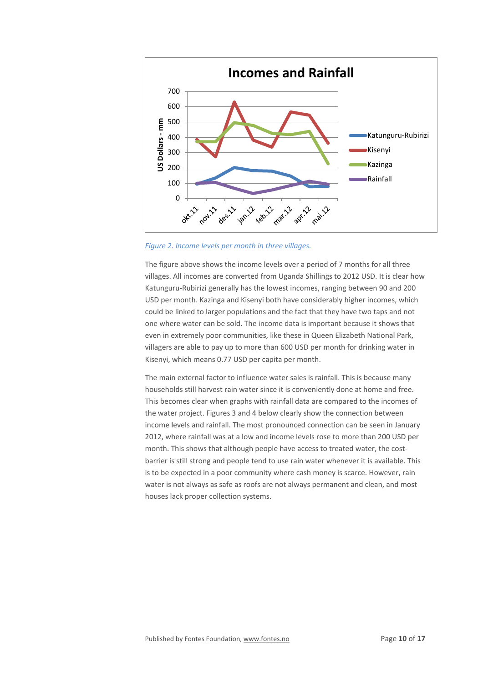

*Figure 2. Income levels per month in three villages.* 

The figure above shows the income levels over a period of 7 months for all three villages. All incomes are converted from Uganda Shillings to 2012 USD. It is clear how Katunguru-Rubirizi generally has the lowest incomes, ranging between 90 and 200 USD per month. Kazinga and Kisenyi both have considerably higher incomes, which could be linked to larger populations and the fact that they have two taps and not one where water can be sold. The income data is important because it shows that even in extremely poor communities, like these in Queen Elizabeth National Park, villagers are able to pay up to more than 600 USD per month for drinking water in Kisenyi, which means 0.77 USD per capita per month.

The main external factor to influence water sales is rainfall. This is because many households still harvest rain water since it is conveniently done at home and free. This becomes clear when graphs with rainfall data are compared to the incomes of the water project. Figures 3 and 4 below clearly show the connection between income levels and rainfall. The most pronounced connection can be seen in January 2012, where rainfall was at a low and income levels rose to more than 200 USD per month. This shows that although people have access to treated water, the costbarrier is still strong and people tend to use rain water whenever it is available. This is to be expected in a poor community where cash money is scarce. However, rain water is not always as safe as roofs are not always permanent and clean, and most houses lack proper collection systems.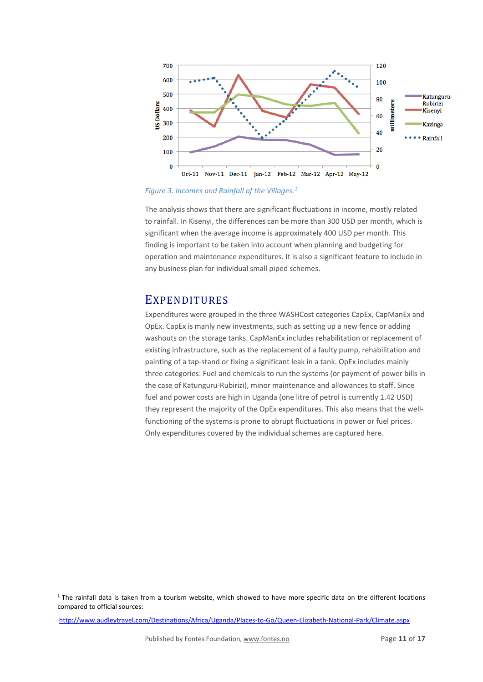

*Figure 3. Incomes and Rainfall of the Villages.[1](#page-10-0)*

The analysis shows that there are significant fluctuations in income, mostly related to rainfall. In Kisenyi, the differences can be more than 300 USD per month, which is significant when the average income is approximately 400 USD per month. This finding is important to be taken into account when planning and budgeting for operation and maintenance expenditures. It is also a significant feature to include in any business plan for individual small piped schemes.

## **EXPENDITURES**

Expenditures were grouped in the three WASHCost categories CapEx, CapManEx and OpEx. CapEx is manly new investments, such as setting up a new fence or adding washouts on the storage tanks. CapManEx includes rehabilitation or replacement of existing infrastructure, such as the replacement of a faulty pump, rehabilitation and painting of a tap-stand or fixing a significant leak in a tank. OpEx includes mainly three categories: Fuel and chemicals to run the systems (or payment of power bills in the case of Katunguru-Rubirizi), minor maintenance and allowances to staff. Since fuel and power costs are high in Uganda (one litre of petrol is currently 1.42 USD) they represent the majority of the OpEx expenditures. This also means that the wellfunctioning of the systems is prone to abrupt fluctuations in power or fuel prices. Only expenditures covered by the individual schemes are captured here.

<http://www.audleytravel.com/Destinations/Africa/Uganda/Places-to-Go/Queen-Elizabeth-National-Park/Climate.aspx>

1

<span id="page-10-0"></span> $1$  The rainfall data is taken from a tourism website, which showed to have more specific data on the different locations compared to official sources: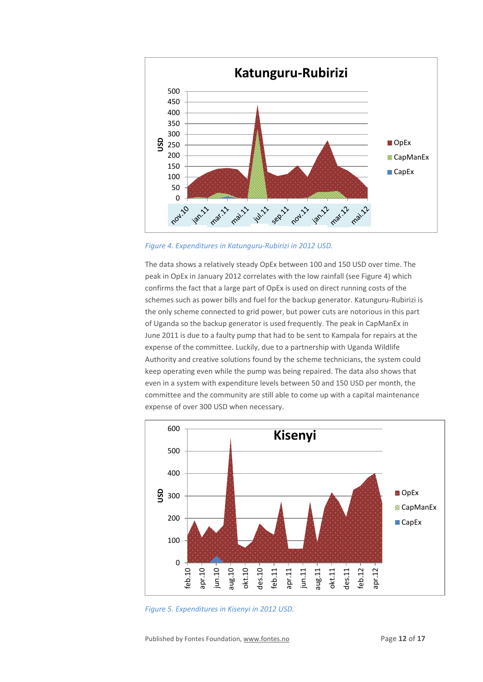

*Figure 4. Expenditures in Katunguru-Rubirizi in 2012 USD.*

The data shows a relatively steady OpEx between 100 and 150 USD over time. The peak in OpEx in January 2012 correlates with the low rainfall (see Figure 4) which confirms the fact that a large part of OpEx is used on direct running costs of the schemes such as power bills and fuel for the backup generator. Katunguru-Rubirizi is the only scheme connected to grid power, but power cuts are notorious in this part of Uganda so the backup generator is used frequently. The peak in CapManEx in June 2011 is due to a faulty pump that had to be sent to Kampala for repairs at the expense of the committee. Luckily, due to a partnership with Uganda Wildlife Authority and creative solutions found by the scheme technicians, the system could keep operating even while the pump was being repaired. The data also shows that even in a system with expenditure levels between 50 and 150 USD per month, the committee and the community are still able to come up with a capital maintenance expense of over 300 USD when necessary.



*Figure 5. Expenditures in Kisenyi in 2012 USD.*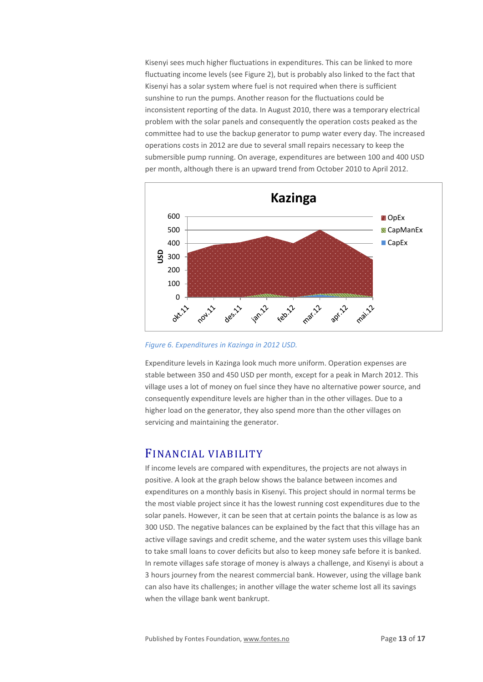Kisenyi sees much higher fluctuations in expenditures. This can be linked to more fluctuating income levels (see Figure 2), but is probably also linked to the fact that Kisenyi has a solar system where fuel is not required when there is sufficient sunshine to run the pumps. Another reason for the fluctuations could be inconsistent reporting of the data. In August 2010, there was a temporary electrical problem with the solar panels and consequently the operation costs peaked as the committee had to use the backup generator to pump water every day. The increased operations costs in 2012 are due to several small repairs necessary to keep the submersible pump running. On average, expenditures are between 100 and 400 USD per month, although there is an upward trend from October 2010 to April 2012.



*Figure 6. Expenditures in Kazinga in 2012 USD.*

Expenditure levels in Kazinga look much more uniform. Operation expenses are stable between 350 and 450 USD per month, except for a peak in March 2012. This village uses a lot of money on fuel since they have no alternative power source, and consequently expenditure levels are higher than in the other villages. Due to a higher load on the generator, they also spend more than the other villages on servicing and maintaining the generator.

#### FINANCIAL VIABILITY

If income levels are compared with expenditures, the projects are not always in positive. A look at the graph below shows the balance between incomes and expenditures on a monthly basis in Kisenyi. This project should in normal terms be the most viable project since it has the lowest running cost expenditures due to the solar panels. However, it can be seen that at certain points the balance is as low as 300 USD. The negative balances can be explained by the fact that this village has an active village savings and credit scheme, and the water system uses this village bank to take small loans to cover deficits but also to keep money safe before it is banked. In remote villages safe storage of money is always a challenge, and Kisenyi is about a 3 hours journey from the nearest commercial bank. However, using the village bank can also have its challenges; in another village the water scheme lost all its savings when the village bank went bankrupt.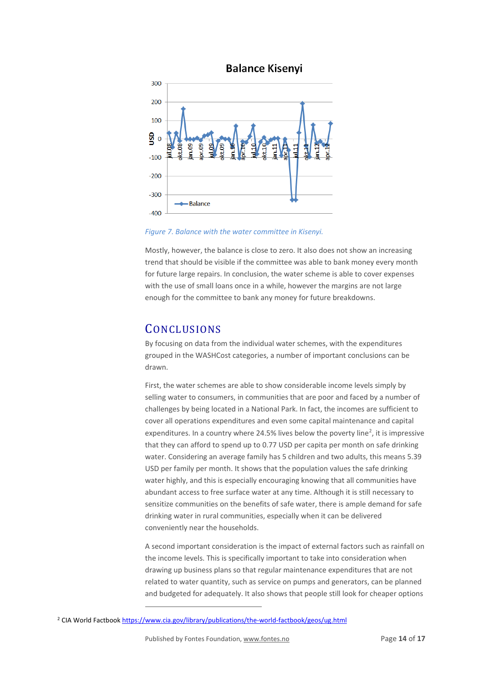



*Figure 7. Balance with the water committee in Kisenyi.*

Mostly, however, the balance is close to zero. It also does not show an increasing trend that should be visible if the committee was able to bank money every month for future large repairs. In conclusion, the water scheme is able to cover expenses with the use of small loans once in a while, however the margins are not large enough for the committee to bank any money for future breakdowns.

# **CONCLUSIONS**

By focusing on data from the individual water schemes, with the expenditures grouped in the WASHCost categories, a number of important conclusions can be drawn.

First, the water schemes are able to show considerable income levels simply by selling water to consumers, in communities that are poor and faced by a number of challenges by being located in a National Park. In fact, the incomes are sufficient to cover all operations expenditures and even some capital maintenance and capital expenditures. In a country where [2](#page-13-0)4.5% lives below the poverty line<sup>2</sup>, it is impressive that they can afford to spend up to 0.77 USD per capita per month on safe drinking water. Considering an average family has 5 children and two adults, this means 5.39 USD per family per month. It shows that the population values the safe drinking water highly, and this is especially encouraging knowing that all communities have abundant access to free surface water at any time. Although it is still necessary to sensitize communities on the benefits of safe water, there is ample demand for safe drinking water in rural communities, especially when it can be delivered conveniently near the households.

A second important consideration is the impact of external factors such as rainfall on the income levels. This is specifically important to take into consideration when drawing up business plans so that regular maintenance expenditures that are not related to water quantity, such as service on pumps and generators, can be planned and budgeted for adequately. It also shows that people still look for cheaper options

1

<span id="page-13-0"></span><sup>&</sup>lt;sup>2</sup> CIA World Factbook <https://www.cia.gov/library/publications/the-world-factbook/geos/ug.html>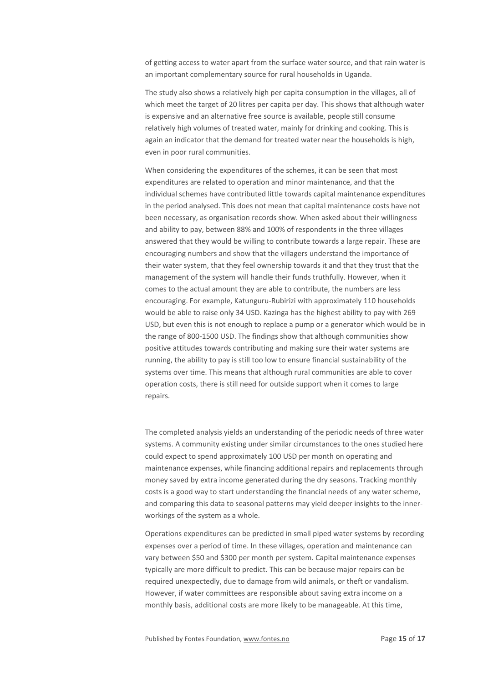of getting access to water apart from the surface water source, and that rain water is an important complementary source for rural households in Uganda.

The study also shows a relatively high per capita consumption in the villages, all of which meet the target of 20 litres per capita per day. This shows that although water is expensive and an alternative free source is available, people still consume relatively high volumes of treated water, mainly for drinking and cooking. This is again an indicator that the demand for treated water near the households is high, even in poor rural communities.

When considering the expenditures of the schemes, it can be seen that most expenditures are related to operation and minor maintenance, and that the individual schemes have contributed little towards capital maintenance expenditures in the period analysed. This does not mean that capital maintenance costs have not been necessary, as organisation records show. When asked about their willingness and ability to pay, between 88% and 100% of respondents in the three villages answered that they would be willing to contribute towards a large repair. These are encouraging numbers and show that the villagers understand the importance of their water system, that they feel ownership towards it and that they trust that the management of the system will handle their funds truthfully. However, when it comes to the actual amount they are able to contribute, the numbers are less encouraging. For example, Katunguru-Rubirizi with approximately 110 households would be able to raise only 34 USD. Kazinga has the highest ability to pay with 269 USD, but even this is not enough to replace a pump or a generator which would be in the range of 800-1500 USD. The findings show that although communities show positive attitudes towards contributing and making sure their water systems are running, the ability to pay is still too low to ensure financial sustainability of the systems over time. This means that although rural communities are able to cover operation costs, there is still need for outside support when it comes to large repairs.

The completed analysis yields an understanding of the periodic needs of three water systems. A community existing under similar circumstances to the ones studied here could expect to spend approximately 100 USD per month on operating and maintenance expenses, while financing additional repairs and replacements through money saved by extra income generated during the dry seasons. Tracking monthly costs is a good way to start understanding the financial needs of any water scheme, and comparing this data to seasonal patterns may yield deeper insights to the innerworkings of the system as a whole.

Operations expenditures can be predicted in small piped water systems by recording expenses over a period of time. In these villages, operation and maintenance can vary between \$50 and \$300 per month per system. Capital maintenance expenses typically are more difficult to predict. This can be because major repairs can be required unexpectedly, due to damage from wild animals, or theft or vandalism. However, if water committees are responsible about saving extra income on a monthly basis, additional costs are more likely to be manageable. At this time,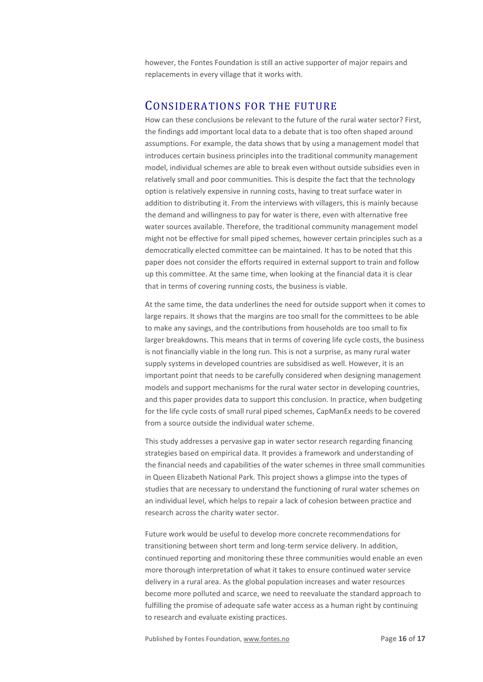however, the Fontes Foundation is still an active supporter of major repairs and replacements in every village that it works with.

## CONSIDERATIONS FOR THE FUTURE

How can these conclusions be relevant to the future of the rural water sector? First, the findings add important local data to a debate that is too often shaped around assumptions. For example, the data shows that by using a management model that introduces certain business principles into the traditional community management model, individual schemes are able to break even without outside subsidies even in relatively small and poor communities. This is despite the fact that the technology option is relatively expensive in running costs, having to treat surface water in addition to distributing it. From the interviews with villagers, this is mainly because the demand and willingness to pay for water is there, even with alternative free water sources available. Therefore, the traditional community management model might not be effective for small piped schemes, however certain principles such as a democratically elected committee can be maintained. It has to be noted that this paper does not consider the efforts required in external support to train and follow up this committee. At the same time, when looking at the financial data it is clear that in terms of covering running costs, the business is viable.

At the same time, the data underlines the need for outside support when it comes to large repairs. It shows that the margins are too small for the committees to be able to make any savings, and the contributions from households are too small to fix larger breakdowns. This means that in terms of covering life cycle costs, the business is not financially viable in the long run. This is not a surprise, as many rural water supply systems in developed countries are subsidised as well. However, it is an important point that needs to be carefully considered when designing management models and support mechanisms for the rural water sector in developing countries, and this paper provides data to support this conclusion. In practice, when budgeting for the life cycle costs of small rural piped schemes, CapManEx needs to be covered from a source outside the individual water scheme.

This study addresses a pervasive gap in water sector research regarding financing strategies based on empirical data. It provides a framework and understanding of the financial needs and capabilities of the water schemes in three small communities in Queen Elizabeth National Park. This project shows a glimpse into the types of studies that are necessary to understand the functioning of rural water schemes on an individual level, which helps to repair a lack of cohesion between practice and research across the charity water sector.

Future work would be useful to develop more concrete recommendations for transitioning between short term and long-term service delivery. In addition, continued reporting and monitoring these three communities would enable an even more thorough interpretation of what it takes to ensure continued water service delivery in a rural area. As the global population increases and water resources become more polluted and scarce, we need to reevaluate the standard approach to fulfilling the promise of adequate safe water access as a human right by continuing to research and evaluate existing practices.